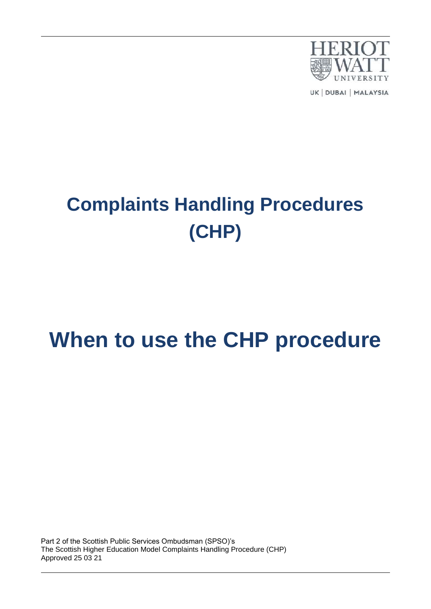

UK | DUBAI | MALAYSIA

# **Complaints Handling Procedures (CHP)**

## **When to use the CHP procedure**

Part 2 of the Scottish Public Services Ombudsman (SPSO)'s The Scottish Higher Education Model Complaints Handling Procedure (CHP) Approved 25 03 21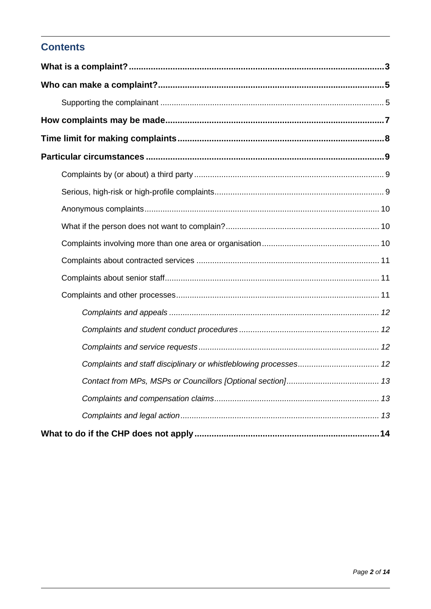## **Contents**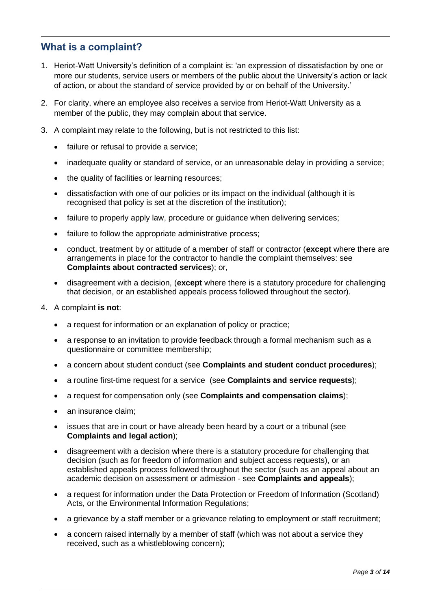### <span id="page-2-0"></span>**What is a complaint?**

- 1. Heriot-Watt University's definition of a complaint is: 'an expression of dissatisfaction by one or more our students, service users or members of the public about the University's action or lack of action, or about the standard of service provided by or on behalf of the University.'
- 2. For clarity, where an employee also receives a service from Heriot-Watt University as a member of the public, they may complain about that service.
- 3. A complaint may relate to the following, but is not restricted to this list:
	- failure or refusal to provide a service;
	- inadequate quality or standard of service, or an unreasonable delay in providing a service;
	- the quality of facilities or learning resources;
	- dissatisfaction with one of our policies or its impact on the individual (although it is recognised that policy is set at the discretion of the institution);
	- failure to properly apply law, procedure or quidance when delivering services:
	- failure to follow the appropriate administrative process;
	- conduct, treatment by or attitude of a member of staff or contractor (**except** where there are arrangements in place for the contractor to handle the complaint themselves: see **Complaints about contracted services**); or,
	- disagreement with a decision, (**except** where there is a statutory procedure for challenging that decision, or an established appeals process followed throughout the sector).
- 4. A complaint **is not**:
	- a request for information or an explanation of policy or practice;
	- a response to an invitation to provide feedback through a formal mechanism such as a questionnaire or committee membership;
	- a concern about student conduct (see **Complaints and student conduct procedures**);
	- a routine first-time request for a service (see **Complaints and service requests**);
	- a request for compensation only (see **Complaints and compensation claims**);
	- an insurance claim:
	- issues that are in court or have already been heard by a court or a tribunal (see **Complaints and legal action**);
	- disagreement with a decision where there is a statutory procedure for challenging that decision (such as for freedom of information and subject access requests), or an established appeals process followed throughout the sector (such as an appeal about an academic decision on assessment or admission - see **Complaints and appeals**);
	- a request for information under the Data Protection or Freedom of Information (Scotland) Acts, or the Environmental Information Regulations:
	- a grievance by a staff member or a grievance relating to employment or staff recruitment;
	- a concern raised internally by a member of staff (which was not about a service they received, such as a whistleblowing concern);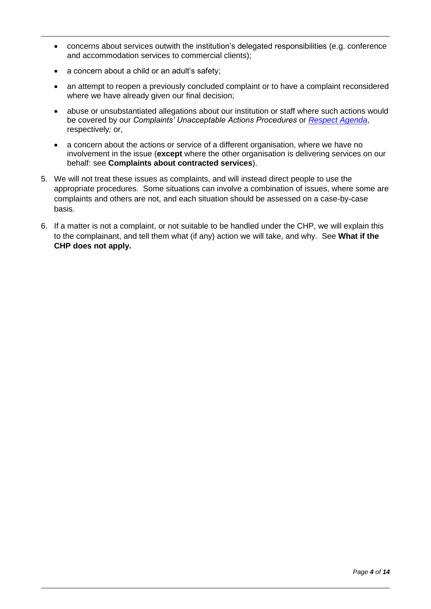- concerns about services outwith the institution's delegated responsibilities (e.g. conference and accommodation services to commercial clients);
- a concern about a child or an adult's safety;
- an attempt to reopen a previously concluded complaint or to have a complaint reconsidered where we have already given our final decision;
- abuse or unsubstantiated allegations about our institution or staff where such actions would be covered by our *Complaints' Unacceptable Actions Procedures* or *[Respect Agenda](https://heriotwatt.sharepoint.com/sites/LivingOurHWUValues/SitePages/RESPECT.aspx)*, respectively*;* or,
- a concern about the actions or service of a different organisation, where we have no involvement in the issue (**except** where the other organisation is delivering services on our behalf: see **Complaints about contracted services**).
- 5. We will not treat these issues as complaints, and will instead direct people to use the appropriate procedures. Some situations can involve a combination of issues, where some are complaints and others are not, and each situation should be assessed on a case-by-case basis.
- 6. If a matter is not a complaint, or not suitable to be handled under the CHP, we will explain this to the complainant, and tell them what (if any) action we will take, and why. See **What if the CHP does not apply.**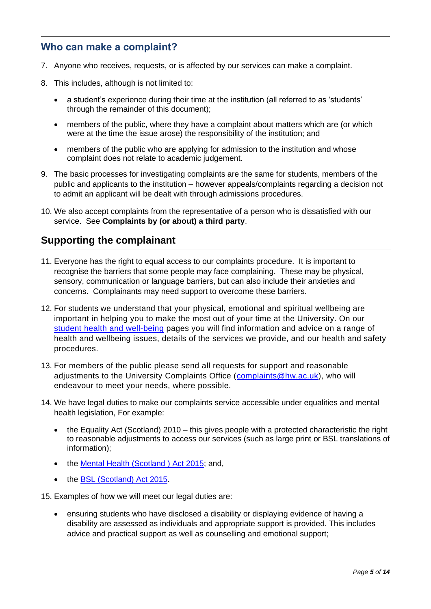### <span id="page-4-0"></span>**Who can make a complaint?**

- 7. Anyone who receives, requests, or is affected by our services can make a complaint.
- 8. This includes, although is not limited to:
	- a student's experience during their time at the institution (all referred to as 'students' through the remainder of this document);
	- members of the public, where they have a complaint about matters which are (or which were at the time the issue arose) the responsibility of the institution; and
	- members of the public who are applying for admission to the institution and whose complaint does not relate to academic judgement.
- 9. The basic processes for investigating complaints are the same for students, members of the public and applicants to the institution – however appeals/complaints regarding a decision not to admit an applicant will be dealt with through admissions procedures.
- 10. We also accept complaints from the representative of a person who is dissatisfied with our service. See **Complaints by (or about) a third party**.

### <span id="page-4-1"></span>**Supporting the complainant**

- 11. Everyone has the right to equal access to our complaints procedure. It is important to recognise the barriers that some people may face complaining. These may be physical, sensory, communication or language barriers, but can also include their anxieties and concerns. Complainants may need support to overcome these barriers.
- 12. For students we understand that your physical, emotional and spiritual wellbeing are important in helping you to make the most out of your time at the University. On our student health [and well-being](https://www.hw.ac.uk/uk/students/health-wellbeing.htm) pages you will find information and advice on a range of health and wellbeing issues, details of the services we provide, and our health and safety procedures.
- 13. For members of the public please send all requests for support and reasonable adjustments to the University Complaints Office [\(complaints@hw.ac.uk\)](mailto:complaints@hw.ac.uk), who will endeavour to meet your needs, where possible.
- 14. We have legal duties to make our complaints service accessible under equalities and mental health legislation, For example:
	- the Equality Act (Scotland) 2010 this gives people with a protected characteristic the right to reasonable adjustments to access our services (such as large print or BSL translations of information);
	- the [Mental Health \(Scotland \) Act 2015;](https://www.legislation.gov.uk/asp/2015/9/pdfs/asp_20150009_en.pdf) and,
	- the [BSL \(Scotland\) Act 2015.](http://bslscotlandact2015.scot/)

15. Examples of how we will meet our legal duties are:

• ensuring students who have disclosed a disability or displaying evidence of having a disability are assessed as individuals and appropriate support is provided. This includes advice and practical support as well as counselling and emotional support;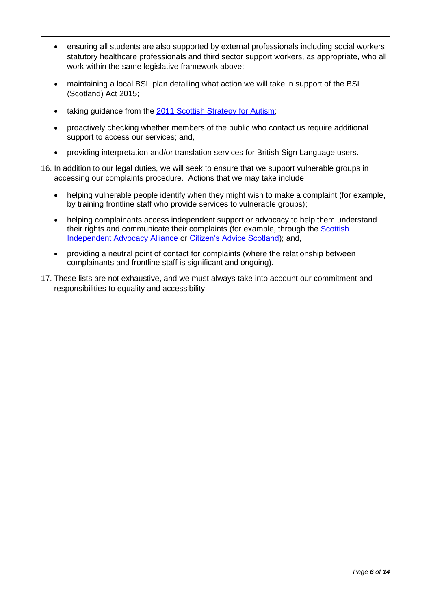- ensuring all students are also supported by external professionals including social workers, statutory healthcare professionals and third sector support workers, as appropriate, who all work within the same legislative framework above;
- maintaining a local BSL plan detailing what action we will take in support of the BSL (Scotland) Act 2015;
- taking guidance from the [2011 Scottish Strategy for Autism;](https://www.gov.scot/binaries/content/documents/govscot/publications/strategy-plan/2011/11/scottish-strategy-autism/documents/0122373-pdf/0122373-pdf/govscot%3Adocument/0122373.pdf)
- proactively checking whether members of the public who contact us require additional support to access our services; and,
- providing interpretation and/or translation services for British Sign Language users.
- 16. In addition to our legal duties, we will seek to ensure that we support vulnerable groups in accessing our complaints procedure. Actions that we may take include:
	- helping vulnerable people identify when they might wish to make a complaint (for example, by training frontline staff who provide services to vulnerable groups);
	- helping complainants access independent support or advocacy to help them understand their rights and communicate their complaints (for example, through the [Scottish](https://www.siaa.org.uk/)  [Independent Advocacy Alliance](https://www.siaa.org.uk/) or [Citizen's Advice Scotland\)](https://www.citizensadvice.org.uk/scotland/); and,
	- providing a neutral point of contact for complaints (where the relationship between complainants and frontline staff is significant and ongoing).
- 17. These lists are not exhaustive, and we must always take into account our commitment and responsibilities to equality and accessibility.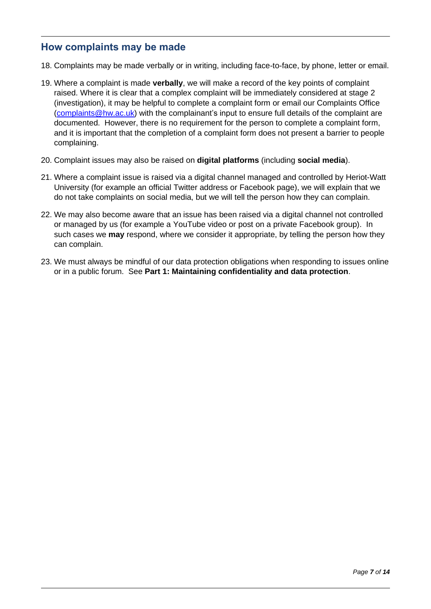#### <span id="page-6-0"></span>**How complaints may be made**

- 18. Complaints may be made verbally or in writing, including face-to-face, by phone, letter or email.
- 19. Where a complaint is made **verbally**, we will make a record of the key points of complaint raised. Where it is clear that a complex complaint will be immediately considered at stage 2 (investigation), it may be helpful to complete a complaint form or email our Complaints Office [\(complaints@hw.ac.uk\)](mailto:complaints@hw.ac.uk) with the complainant's input to ensure full details of the complaint are documented. However, there is no requirement for the person to complete a complaint form, and it is important that the completion of a complaint form does not present a barrier to people complaining.
- 20. Complaint issues may also be raised on **digital platforms** (including **social media**).
- 21. Where a complaint issue is raised via a digital channel managed and controlled by Heriot-Watt University (for example an official Twitter address or Facebook page), we will explain that we do not take complaints on social media, but we will tell the person how they can complain.
- 22. We may also become aware that an issue has been raised via a digital channel not controlled or managed by us (for example a YouTube video or post on a private Facebook group). In such cases we **may** respond, where we consider it appropriate, by telling the person how they can complain.
- 23. We must always be mindful of our data protection obligations when responding to issues online or in a public forum. See **Part 1: Maintaining confidentiality and data protection**.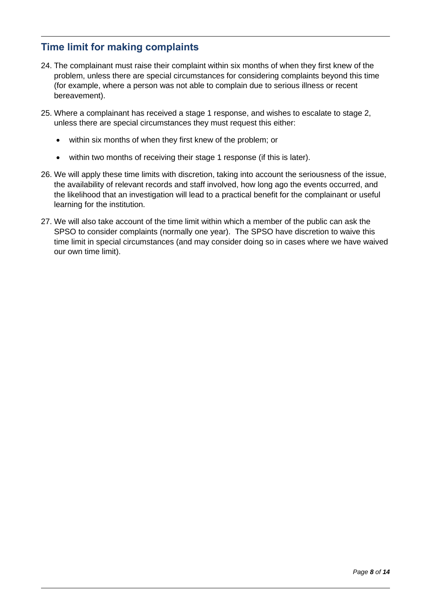## <span id="page-7-0"></span>**Time limit for making complaints**

- 24. The complainant must raise their complaint within six months of when they first knew of the problem, unless there are special circumstances for considering complaints beyond this time (for example, where a person was not able to complain due to serious illness or recent bereavement).
- 25. Where a complainant has received a stage 1 response, and wishes to escalate to stage 2, unless there are special circumstances they must request this either:
	- within six months of when they first knew of the problem; or
	- within two months of receiving their stage 1 response (if this is later).
- 26. We will apply these time limits with discretion, taking into account the seriousness of the issue, the availability of relevant records and staff involved, how long ago the events occurred, and the likelihood that an investigation will lead to a practical benefit for the complainant or useful learning for the institution.
- 27. We will also take account of the time limit within which a member of the public can ask the SPSO to consider complaints (normally one year). The SPSO have discretion to waive this time limit in special circumstances (and may consider doing so in cases where we have waived our own time limit).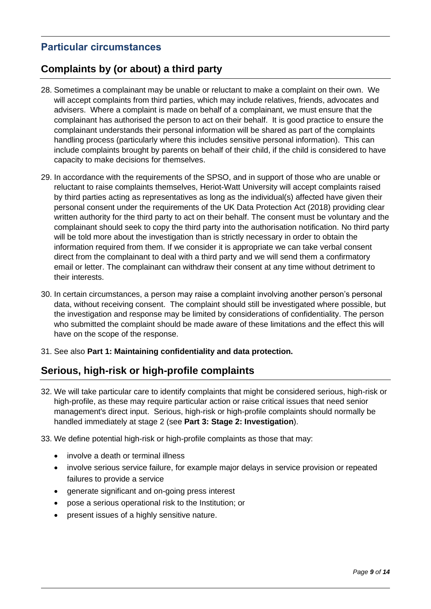## <span id="page-8-0"></span>**Particular circumstances**

### <span id="page-8-1"></span>**Complaints by (or about) a third party**

- 28. Sometimes a complainant may be unable or reluctant to make a complaint on their own. We will accept complaints from third parties, which may include relatives, friends, advocates and advisers. Where a complaint is made on behalf of a complainant, we must ensure that the complainant has authorised the person to act on their behalf. It is good practice to ensure the complainant understands their personal information will be shared as part of the complaints handling process (particularly where this includes sensitive personal information). This can include complaints brought by parents on behalf of their child, if the child is considered to have capacity to make decisions for themselves.
- 29. In accordance with the requirements of the SPSO, and in support of those who are unable or reluctant to raise complaints themselves, Heriot-Watt University will accept complaints raised by third parties acting as representatives as long as the individual(s) affected have given their personal consent under the requirements of the UK Data Protection Act (2018) providing clear written authority for the third party to act on their behalf. The consent must be voluntary and the complainant should seek to copy the third party into the authorisation notification. No third party will be told more about the investigation than is strictly necessary in order to obtain the information required from them. If we consider it is appropriate we can take verbal consent direct from the complainant to deal with a third party and we will send them a confirmatory email or letter. The complainant can withdraw their consent at any time without detriment to their interests.
- 30. In certain circumstances, a person may raise a complaint involving another person's personal data, without receiving consent. The complaint should still be investigated where possible, but the investigation and response may be limited by considerations of confidentiality. The person who submitted the complaint should be made aware of these limitations and the effect this will have on the scope of the response.
- 31. See also **Part 1: Maintaining confidentiality and data protection.**

### <span id="page-8-2"></span>**Serious, high-risk or high-profile complaints**

- 32. We will take particular care to identify complaints that might be considered serious, high-risk or high-profile, as these may require particular action or raise critical issues that need senior management's direct input. Serious, high-risk or high-profile complaints should normally be handled immediately at stage 2 (see **Part 3: Stage 2: Investigation**).
- 33. We define potential high-risk or high-profile complaints as those that may:
	- involve a death or terminal illness
	- involve serious service failure, for example major delays in service provision or repeated failures to provide a service
	- generate significant and on-going press interest
	- pose a serious operational risk to the Institution; or
	- present issues of a highly sensitive nature.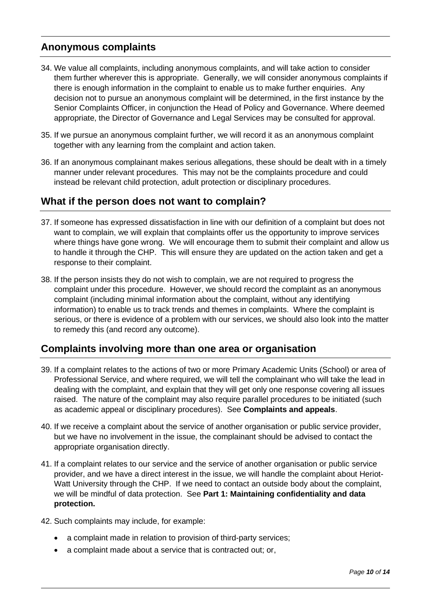### <span id="page-9-0"></span>**Anonymous complaints**

- 34. We value all complaints, including anonymous complaints, and will take action to consider them further wherever this is appropriate. Generally, we will consider anonymous complaints if there is enough information in the complaint to enable us to make further enquiries. Any decision not to pursue an anonymous complaint will be determined, in the first instance by the Senior Complaints Officer, in conjunction the Head of Policy and Governance. Where deemed appropriate, the Director of Governance and Legal Services may be consulted for approval.
- 35. If we pursue an anonymous complaint further, we will record it as an anonymous complaint together with any learning from the complaint and action taken.
- 36. If an anonymous complainant makes serious allegations, these should be dealt with in a timely manner under relevant procedures. This may not be the complaints procedure and could instead be relevant child protection, adult protection or disciplinary procedures.

### <span id="page-9-1"></span>**What if the person does not want to complain?**

- 37. If someone has expressed dissatisfaction in line with our definition of a complaint but does not want to complain, we will explain that complaints offer us the opportunity to improve services where things have gone wrong. We will encourage them to submit their complaint and allow us to handle it through the CHP. This will ensure they are updated on the action taken and get a response to their complaint.
- 38. If the person insists they do not wish to complain, we are not required to progress the complaint under this procedure. However, we should record the complaint as an anonymous complaint (including minimal information about the complaint, without any identifying information) to enable us to track trends and themes in complaints. Where the complaint is serious, or there is evidence of a problem with our services, we should also look into the matter to remedy this (and record any outcome).

### <span id="page-9-2"></span>**Complaints involving more than one area or organisation**

- 39. If a complaint relates to the actions of two or more Primary Academic Units (School) or area of Professional Service, and where required, we will tell the complainant who will take the lead in dealing with the complaint, and explain that they will get only one response covering all issues raised. The nature of the complaint may also require parallel procedures to be initiated (such as academic appeal or disciplinary procedures). See **Complaints and appeals**.
- 40. If we receive a complaint about the service of another organisation or public service provider, but we have no involvement in the issue, the complainant should be advised to contact the appropriate organisation directly.
- 41. If a complaint relates to our service and the service of another organisation or public service provider, and we have a direct interest in the issue, we will handle the complaint about Heriot-Watt University through the CHP. If we need to contact an outside body about the complaint, we will be mindful of data protection. See **Part 1: Maintaining confidentiality and data protection.**
- 42. Such complaints may include, for example:
	- a complaint made in relation to provision of third-party services;
	- a complaint made about a service that is contracted out; or,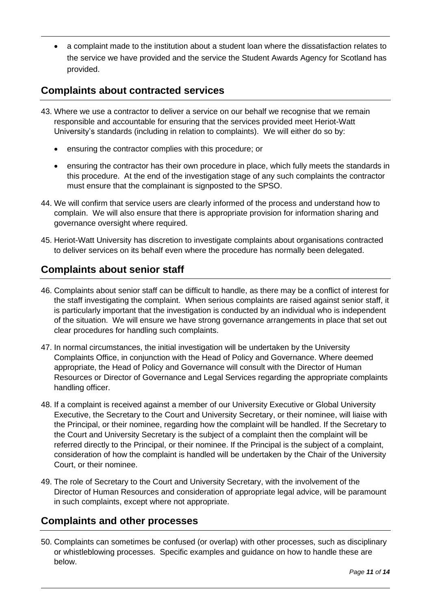• a complaint made to the institution about a student loan where the dissatisfaction relates to the service we have provided and the service the Student Awards Agency for Scotland has provided.

## <span id="page-10-0"></span>**Complaints about contracted services**

- 43. Where we use a contractor to deliver a service on our behalf we recognise that we remain responsible and accountable for ensuring that the services provided meet Heriot-Watt University's standards (including in relation to complaints). We will either do so by:
	- ensuring the contractor complies with this procedure; or
	- ensuring the contractor has their own procedure in place, which fully meets the standards in this procedure. At the end of the investigation stage of any such complaints the contractor must ensure that the complainant is signposted to the SPSO.
- 44. We will confirm that service users are clearly informed of the process and understand how to complain. We will also ensure that there is appropriate provision for information sharing and governance oversight where required.
- 45. Heriot-Watt University has discretion to investigate complaints about organisations contracted to deliver services on its behalf even where the procedure has normally been delegated.

## <span id="page-10-1"></span>**Complaints about senior staff**

- 46. Complaints about senior staff can be difficult to handle, as there may be a conflict of interest for the staff investigating the complaint. When serious complaints are raised against senior staff, it is particularly important that the investigation is conducted by an individual who is independent of the situation. We will ensure we have strong governance arrangements in place that set out clear procedures for handling such complaints.
- 47. In normal circumstances, the initial investigation will be undertaken by the University Complaints Office, in conjunction with the Head of Policy and Governance. Where deemed appropriate, the Head of Policy and Governance will consult with the Director of Human Resources or Director of Governance and Legal Services regarding the appropriate complaints handling officer.
- 48. If a complaint is received against a member of our University Executive or Global University Executive, the Secretary to the Court and University Secretary, or their nominee, will liaise with the Principal, or their nominee, regarding how the complaint will be handled. If the Secretary to the Court and University Secretary is the subject of a complaint then the complaint will be referred directly to the Principal, or their nominee. If the Principal is the subject of a complaint, consideration of how the complaint is handled will be undertaken by the Chair of the University Court, or their nominee.
- 49. The role of Secretary to the Court and University Secretary, with the involvement of the Director of Human Resources and consideration of appropriate legal advice, will be paramount in such complaints, except where not appropriate.

### <span id="page-10-2"></span>**Complaints and other processes**

50. Complaints can sometimes be confused (or overlap) with other processes, such as disciplinary or whistleblowing processes. Specific examples and guidance on how to handle these are below.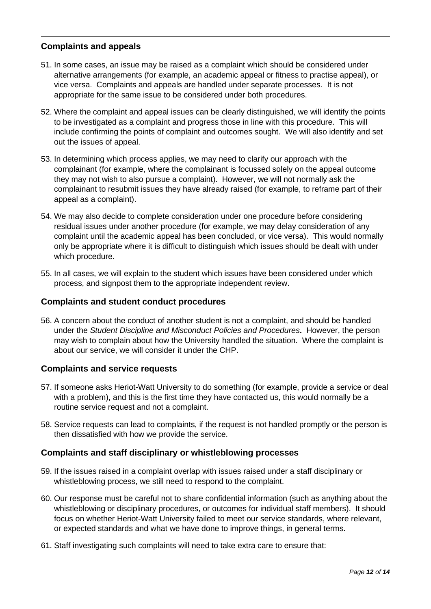#### <span id="page-11-0"></span>**Complaints and appeals**

- 51. In some cases, an issue may be raised as a complaint which should be considered under alternative arrangements (for example, an academic appeal or fitness to practise appeal), or vice versa. Complaints and appeals are handled under separate processes. It is not appropriate for the same issue to be considered under both procedures.
- 52. Where the complaint and appeal issues can be clearly distinguished, we will identify the points to be investigated as a complaint and progress those in line with this procedure. This will include confirming the points of complaint and outcomes sought. We will also identify and set out the issues of appeal.
- 53. In determining which process applies, we may need to clarify our approach with the complainant (for example, where the complainant is focussed solely on the appeal outcome they may not wish to also pursue a complaint). However, we will not normally ask the complainant to resubmit issues they have already raised (for example, to reframe part of their appeal as a complaint).
- 54. We may also decide to complete consideration under one procedure before considering residual issues under another procedure (for example, we may delay consideration of any complaint until the academic appeal has been concluded, or vice versa). This would normally only be appropriate where it is difficult to distinguish which issues should be dealt with under which procedure.
- 55. In all cases, we will explain to the student which issues have been considered under which process, and signpost them to the appropriate independent review.

#### <span id="page-11-1"></span>**Complaints and student conduct procedures**

56. A concern about the conduct of another student is not a complaint, and should be handled under the *Student Discipline and Misconduct Policies and Procedures***.** However, the person may wish to complain about how the University handled the situation. Where the complaint is about our service, we will consider it under the CHP.

#### <span id="page-11-2"></span>**Complaints and service requests**

- 57. If someone asks Heriot-Watt University to do something (for example, provide a service or deal with a problem), and this is the first time they have contacted us, this would normally be a routine service request and not a complaint.
- 58. Service requests can lead to complaints, if the request is not handled promptly or the person is then dissatisfied with how we provide the service.

#### <span id="page-11-3"></span>**Complaints and staff disciplinary or whistleblowing processes**

- 59. If the issues raised in a complaint overlap with issues raised under a staff disciplinary or whistleblowing process, we still need to respond to the complaint.
- 60. Our response must be careful not to share confidential information (such as anything about the whistleblowing or disciplinary procedures, or outcomes for individual staff members). It should focus on whether Heriot-Watt University failed to meet our service standards, where relevant, or expected standards and what we have done to improve things, in general terms.
- 61. Staff investigating such complaints will need to take extra care to ensure that: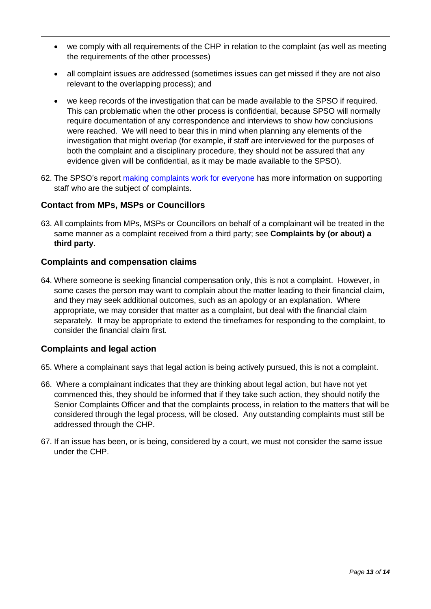- we comply with all requirements of the CHP in relation to the complaint (as well as meeting the requirements of the other processes)
- all complaint issues are addressed (sometimes issues can get missed if they are not also relevant to the overlapping process); and
- we keep records of the investigation that can be made available to the SPSO if required. This can problematic when the other process is confidential, because SPSO will normally require documentation of any correspondence and interviews to show how conclusions were reached. We will need to bear this in mind when planning any elements of the investigation that might overlap (for example, if staff are interviewed for the purposes of both the complaint and a disciplinary procedure, they should not be assured that any evidence given will be confidential, as it may be made available to the SPSO).
- 62. The SPSO's report [making complaints work for everyone](https://www.spso.org.uk/sites/spso/files/communications_material/Thematic_Reports/MakingComplaintsWorkForEveryoneFinalWeb.pdf) has more information on supporting staff who are the subject of complaints.

#### <span id="page-12-0"></span>**Contact from MPs, MSPs or Councillors**

63. All complaints from MPs, MSPs or Councillors on behalf of a complainant will be treated in the same manner as a complaint received from a third party; see **Complaints by (or about) a third party**.

#### <span id="page-12-1"></span>**Complaints and compensation claims**

64. Where someone is seeking financial compensation only, this is not a complaint. However, in some cases the person may want to complain about the matter leading to their financial claim, and they may seek additional outcomes, such as an apology or an explanation. Where appropriate, we may consider that matter as a complaint, but deal with the financial claim separately. It may be appropriate to extend the timeframes for responding to the complaint, to consider the financial claim first.

#### <span id="page-12-2"></span>**Complaints and legal action**

- 65. Where a complainant says that legal action is being actively pursued, this is not a complaint.
- 66. Where a complainant indicates that they are thinking about legal action, but have not yet commenced this, they should be informed that if they take such action, they should notify the Senior Complaints Officer and that the complaints process, in relation to the matters that will be considered through the legal process, will be closed. Any outstanding complaints must still be addressed through the CHP.
- 67. If an issue has been, or is being, considered by a court, we must not consider the same issue under the CHP.